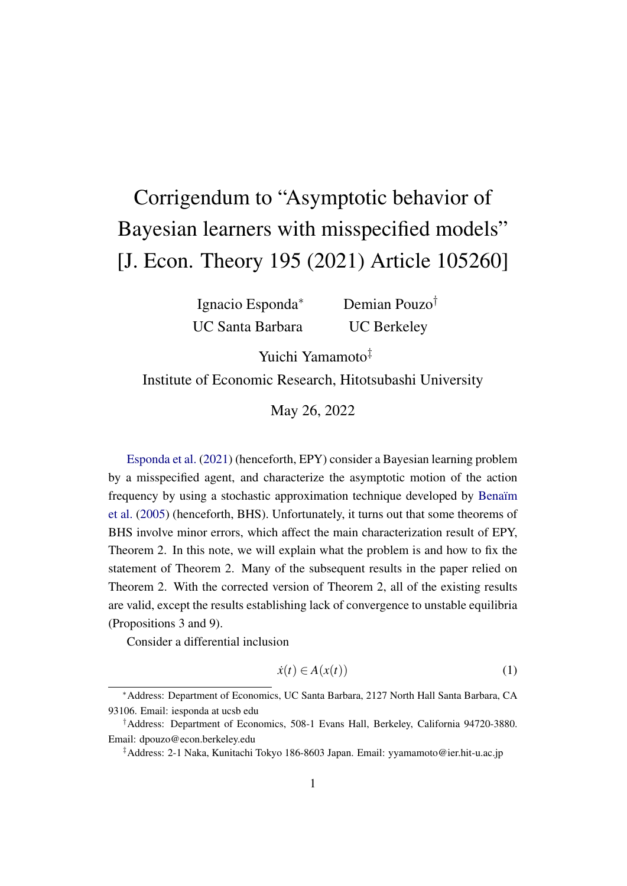## Corrigendum to "Asymptotic behavior of Bayesian learners with misspecified models" [J. Econ. Theory 195 (2021) Article 105260]

Ignacio Esponda<sup>∗</sup> UC Santa Barbara Demian Pouzo† UC Berkeley

Yuichi Yamamoto‡

Institute of Economic Research, Hitotsubashi University

May 26, 2022

[Esponda et al.](#page-4-0) [\(2021\)](#page-4-0) (henceforth, EPY) consider a Bayesian learning problem by a misspecified agent, and characterize the asymptotic motion of the action frequency by using a stochastic approximation technique developed by Benaïm [et al.](#page-4-1) [\(2005\)](#page-4-1) (henceforth, BHS). Unfortunately, it turns out that some theorems of BHS involve minor errors, which affect the main characterization result of EPY, Theorem 2. In this note, we will explain what the problem is and how to fix the statement of Theorem 2. Many of the subsequent results in the paper relied on Theorem 2. With the corrected version of Theorem 2, all of the existing results are valid, except the results establishing lack of convergence to unstable equilibria (Propositions 3 and 9).

Consider a differential inclusion

<span id="page-0-0"></span>
$$
\dot{x}(t) \in A(x(t))\tag{1}
$$

<sup>∗</sup>Address: Department of Economics, UC Santa Barbara, 2127 North Hall Santa Barbara, CA 93106. Email: iesponda at ucsb edu

<sup>†</sup>Address: Department of Economics, 508-1 Evans Hall, Berkeley, California 94720-3880. Email: dpouzo@econ.berkeley.edu

<sup>‡</sup>Address: 2-1 Naka, Kunitachi Tokyo 186-8603 Japan. Email: yyamamoto@ier.hit-u.ac.jp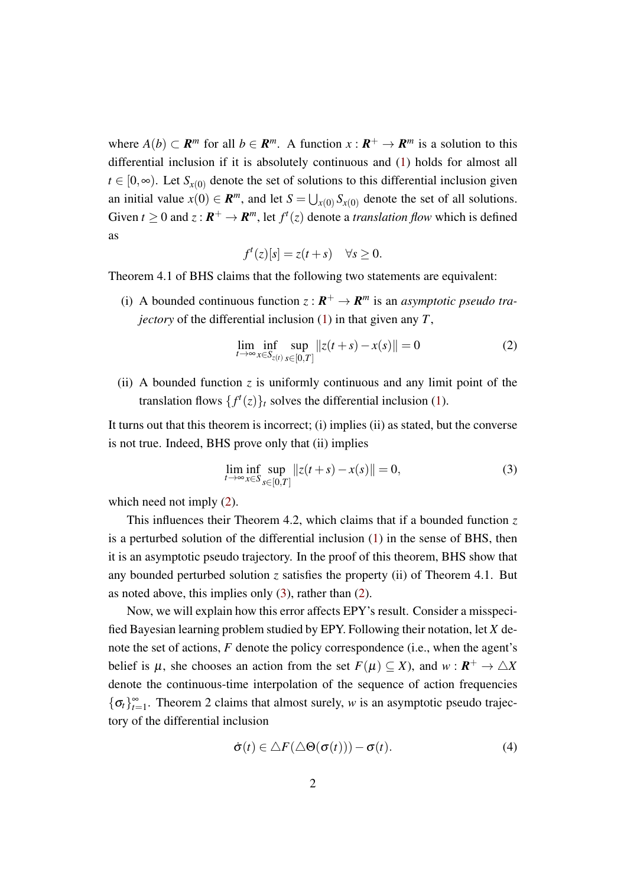where  $A(b) \subset \mathbb{R}^m$  for all  $b \in \mathbb{R}^m$ . A function  $x : \mathbb{R}^+ \to \mathbb{R}^m$  is a solution to this differential inclusion if it is absolutely continuous and [\(1\)](#page-0-0) holds for almost all  $t \in [0, \infty)$ . Let  $S_{r(0)}$  denote the set of solutions to this differential inclusion given an initial value  $x(0) \in \mathbb{R}^m$ , and let  $S = \bigcup_{x(0)} S_{x(0)}$  denote the set of all solutions. Given  $t \geq 0$  and  $z : \mathbf{R}^+ \to \mathbf{R}^m$ , let  $f^t(z)$  denote a *translation flow* which is defined as

$$
f^t(z)[s] = z(t+s) \quad \forall s \ge 0.
$$

Theorem 4.1 of BHS claims that the following two statements are equivalent:

(i) A bounded continuous function  $z : \mathbb{R}^+ \to \mathbb{R}^m$  is an *asymptotic pseudo trajectory* of the differential inclusion [\(1\)](#page-0-0) in that given any *T*,

<span id="page-1-0"></span>
$$
\lim_{t \to \infty} \inf_{x \in S_{z(t)}} \sup_{s \in [0,T]} ||z(t+s) - x(s)|| = 0
$$
\n(2)

(ii) A bounded function  $\zeta$  is uniformly continuous and any limit point of the translation flows  $\{f^t(z)\}_t$  solves the differential inclusion [\(1\)](#page-0-0).

It turns out that this theorem is incorrect; (i) implies (ii) as stated, but the converse is not true. Indeed, BHS prove only that (ii) implies

<span id="page-1-1"></span>
$$
\lim_{t \to \infty} \inf_{x \in S} \sup_{s \in [0,T]} ||z(t+s) - x(s)|| = 0,
$$
\n(3)

which need not imply  $(2)$ .

This influences their Theorem 4.2, which claims that if a bounded function *z* is a perturbed solution of the differential inclusion [\(1\)](#page-0-0) in the sense of BHS, then it is an asymptotic pseudo trajectory. In the proof of this theorem, BHS show that any bounded perturbed solution *z* satisfies the property (ii) of Theorem 4.1. But as noted above, this implies only [\(3\)](#page-1-1), rather than [\(2\)](#page-1-0).

Now, we will explain how this error affects EPY's result. Consider a misspecified Bayesian learning problem studied by EPY. Following their notation, let *X* denote the set of actions, *F* denote the policy correspondence (i.e., when the agent's belief is  $\mu$ , she chooses an action from the set  $F(\mu) \subseteq X$ ), and  $w : \mathbf{R}^+ \to \triangle X$ denote the continuous-time interpolation of the sequence of action frequencies  ${\{\sigma_t\}}_{t=1}^{\infty}$ . Theorem 2 claims that almost surely, *w* is an asymptotic pseudo trajectory of the differential inclusion

<span id="page-1-2"></span>
$$
\dot{\sigma}(t) \in \Delta F(\Delta \Theta(\sigma(t))) - \sigma(t). \tag{4}
$$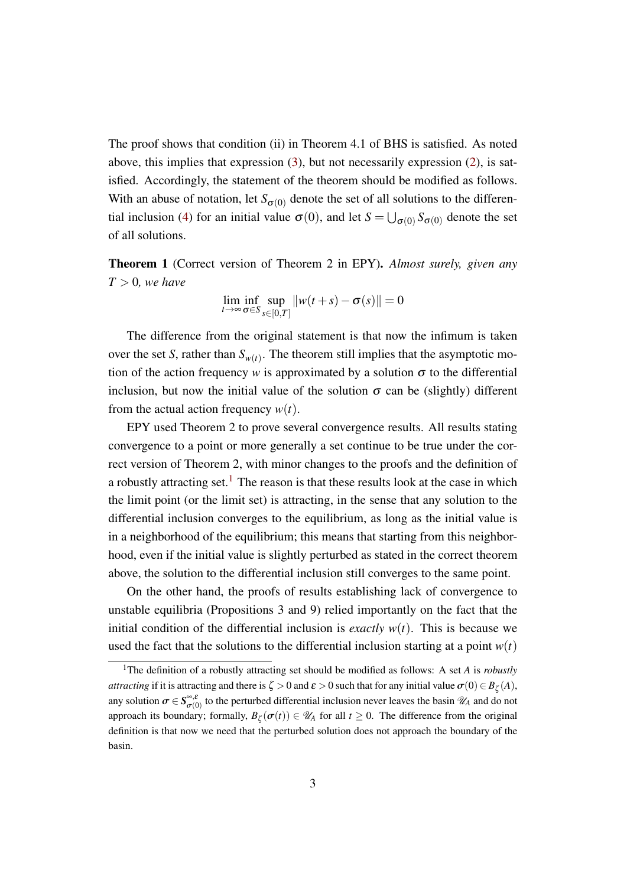The proof shows that condition (ii) in Theorem 4.1 of BHS is satisfied. As noted above, this implies that expression [\(3\)](#page-1-1), but not necessarily expression [\(2\)](#page-1-0), is satisfied. Accordingly, the statement of the theorem should be modified as follows. With an abuse of notation, let  $S_{\sigma(0)}$  denote the set of all solutions to the differen-tial inclusion [\(4\)](#page-1-2) for an initial value  $\sigma(0)$ , and let  $S = \bigcup_{\sigma(0)} S_{\sigma(0)}$  denote the set of all solutions.

Theorem 1 (Correct version of Theorem 2 in EPY). *Almost surely, given any*  $T > 0$ *, we have* 

$$
\lim_{t \to \infty} \inf_{\sigma \in S} \sup_{s \in [0,T]} ||w(t+s) - \sigma(s)|| = 0
$$

The difference from the original statement is that now the infimum is taken over the set *S*, rather than  $S_{w(t)}$ . The theorem still implies that the asymptotic motion of the action frequency *w* is approximated by a solution  $\sigma$  to the differential inclusion, but now the initial value of the solution  $\sigma$  can be (slightly) different from the actual action frequency  $w(t)$ .

EPY used Theorem 2 to prove several convergence results. All results stating convergence to a point or more generally a set continue to be true under the correct version of Theorem 2, with minor changes to the proofs and the definition of a robustly attracting set.<sup>[1](#page-2-0)</sup> The reason is that these results look at the case in which the limit point (or the limit set) is attracting, in the sense that any solution to the differential inclusion converges to the equilibrium, as long as the initial value is in a neighborhood of the equilibrium; this means that starting from this neighborhood, even if the initial value is slightly perturbed as stated in the correct theorem above, the solution to the differential inclusion still converges to the same point.

On the other hand, the proofs of results establishing lack of convergence to unstable equilibria (Propositions 3 and 9) relied importantly on the fact that the initial condition of the differential inclusion is *exactly*  $w(t)$ . This is because we used the fact that the solutions to the differential inclusion starting at a point  $w(t)$ 

<span id="page-2-0"></span><sup>1</sup>The definition of a robustly attracting set should be modified as follows: A set *A* is *robustly attracting* if it is attracting and there is  $\zeta > 0$  and  $\varepsilon > 0$  such that for any initial value  $\sigma(0) \in B_{\zeta}(A)$ , any solution  $\sigma \in S^{\infty, \varepsilon}_{\sigma(0)}$  $\tilde{\sigma}_{(0)}^{0}$  to the perturbed differential inclusion never leaves the basin  $\mathcal{U}_A$  and do not<br>degree formally  $P_{\alpha}(\sigma(t)) \subset \mathcal{U}_A$  for all  $t > 0$ . The difference from the original approach its boundary; formally,  $B_{\zeta}(\sigma(t)) \in \mathcal{U}_A$  for all  $t \geq 0$ . The difference from the original definition is that now we need that the perturbed solution does not approach the boundary of the basin.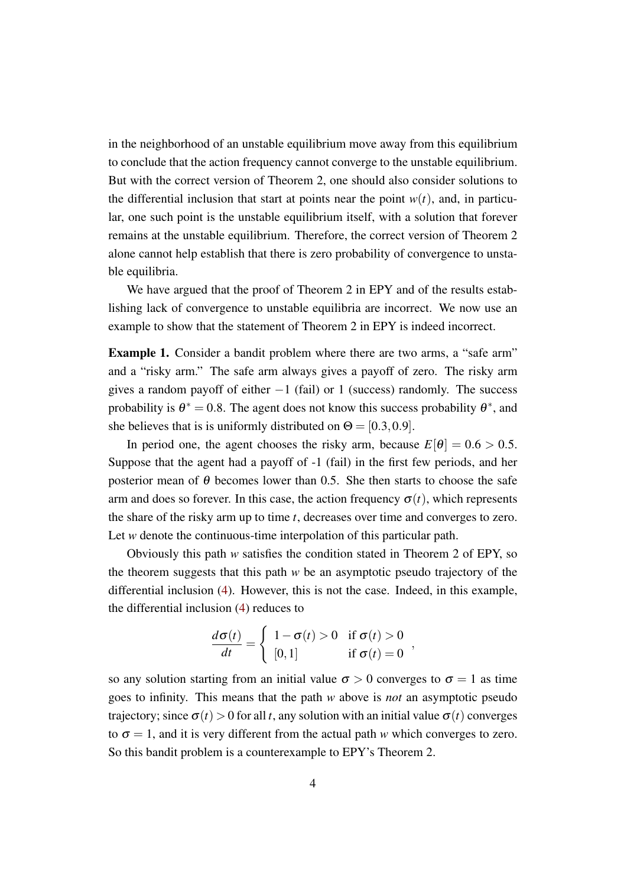in the neighborhood of an unstable equilibrium move away from this equilibrium to conclude that the action frequency cannot converge to the unstable equilibrium. But with the correct version of Theorem 2, one should also consider solutions to the differential inclusion that start at points near the point  $w(t)$ , and, in particular, one such point is the unstable equilibrium itself, with a solution that forever remains at the unstable equilibrium. Therefore, the correct version of Theorem 2 alone cannot help establish that there is zero probability of convergence to unstable equilibria.

We have argued that the proof of Theorem 2 in EPY and of the results establishing lack of convergence to unstable equilibria are incorrect. We now use an example to show that the statement of Theorem 2 in EPY is indeed incorrect.

**Example 1.** Consider a bandit problem where there are two arms, a "safe arm" and a "risky arm." The safe arm always gives a payoff of zero. The risky arm gives a random payoff of either  $-1$  (fail) or 1 (success) randomly. The success probability is  $\theta^* = 0.8$ . The agent does not know this success probability  $\theta^*$ , and she believes that is is uniformly distributed on  $\Theta = [0.3, 0.9]$ .

In period one, the agent chooses the risky arm, because  $E[\theta] = 0.6 > 0.5$ . Suppose that the agent had a payoff of -1 (fail) in the first few periods, and her posterior mean of  $\theta$  becomes lower than 0.5. She then starts to choose the safe arm and does so forever. In this case, the action frequency  $\sigma(t)$ , which represents the share of the risky arm up to time *t*, decreases over time and converges to zero. Let *w* denote the continuous-time interpolation of this particular path.

Obviously this path *w* satisfies the condition stated in Theorem 2 of EPY, so the theorem suggests that this path *w* be an asymptotic pseudo trajectory of the differential inclusion [\(4\)](#page-1-2). However, this is not the case. Indeed, in this example, the differential inclusion [\(4\)](#page-1-2) reduces to

$$
\frac{d\sigma(t)}{dt} = \begin{cases} 1 - \sigma(t) > 0 & \text{if } \sigma(t) > 0 \\ [0,1] & \text{if } \sigma(t) = 0 \end{cases}
$$

so any solution starting from an initial value  $\sigma > 0$  converges to  $\sigma = 1$  as time goes to infinity. This means that the path *w* above is *not* an asymptotic pseudo trajectory; since  $\sigma(t) > 0$  for all *t*, any solution with an initial value  $\sigma(t)$  converges to  $\sigma = 1$ , and it is very different from the actual path *w* which converges to zero. So this bandit problem is a counterexample to EPY's Theorem 2.